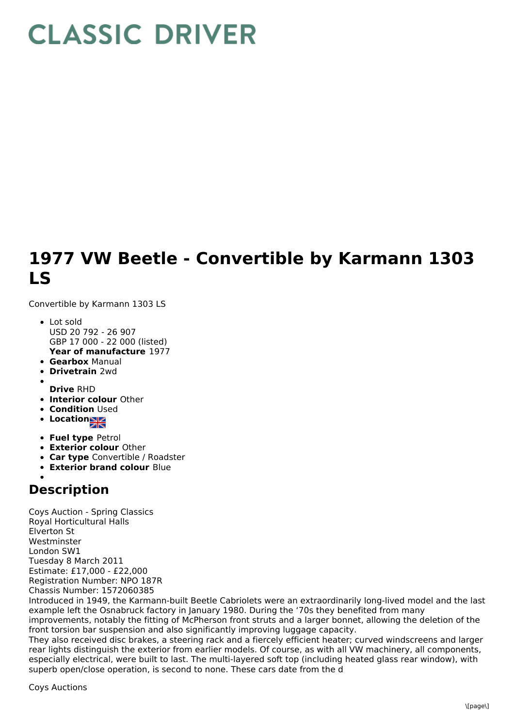## **CLASSIC DRIVER**

## **1977 VW Beetle - Convertible by Karmann 1303 LS**

Convertible by Karmann 1303 LS

- **Year of manufacture** 1977 • Lot sold USD 20 792 - 26 907 GBP 17 000 - 22 000 (listed)
- **Gearbox** Manual
- **Drivetrain** 2wd
- **Drive** RHD
- **Interior colour** Other
- **Condition Used**
- **Location**
- **Fuel type** Petrol
- **Exterior colour** Other
- **Car type** Convertible / Roadster
- **Exterior brand colour** Blue

## **Description**

Coys Auction - Spring Classics Royal Horticultural Halls Elverton St Westminster London SW1 Tuesday 8 March 2011 Estimate: £17,000 - £22,000 Registration Number: NPO 187R Chassis Number: 1572060385

Introduced in 1949, the Karmann-built Beetle Cabriolets were an extraordinarily long-lived model and the last example left the Osnabruck factory in January 1980. During the '70s they benefited from many

improvements, notably the fitting of McPherson front struts and a larger bonnet, allowing the deletion of the front torsion bar suspension and also significantly improving luggage capacity.

They also received disc brakes, a steering rack and a fiercely efficient heater; curved windscreens and larger rear lights distinguish the exterior from earlier models. Of course, as with all VW machinery, all components, especially electrical, were built to last. The multi-layered soft top (including heated glass rear window), with superb open/close operation, is second to none. These cars date from the d

Coys Auctions